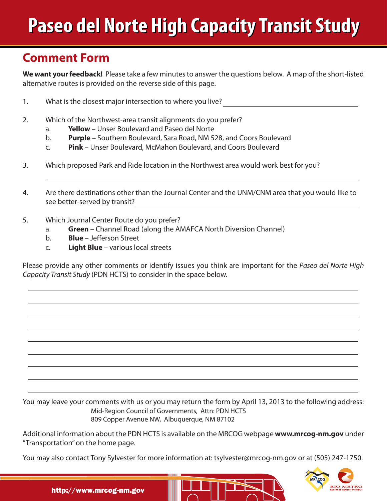## **Paseo del Norte High Capacity Transit Study**

## **Comment Form**

**We want your feedback!** Please take a few minutes to answer the questions below. A map of the short-listed alternative routes is provided on the reverse side of this page.

- 1. What is the closest major intersection to where you live?
- 2. Which of the Northwest-area transit alignments do you prefer?
	- a. **Yellow** Unser Boulevard and Paseo del Norte
	- b. **Purple** Southern Boulevard, Sara Road, NM 528, and Coors Boulevard
	- c. **Pink** Unser Boulevard, McMahon Boulevard, and Coors Boulevard
- 3. Which proposed Park and Ride location in the Northwest area would work best for you?
- 4. Are there destinations other than the Journal Center and the UNM/CNM area that you would like to see better-served by transit?
- 5. Which Journal Center Route do you prefer?
	- a. **Green** Channel Road (along the AMAFCA North Diversion Channel)
	- b. **Blue** Jefferson Street
	- c. **Light Blue** various local streets

Please provide any other comments or identify issues you think are important for the *Paseo del Norte High Capacity Transit Study* (PDN HCTS) to consider in the space below.

You may leave your comments with us or you may return the form by April 13, 2013 to the following address: Mid-Region Council of Governments, Attn: PDN HCTS 809 Copper Avenue NW, Albuquerque, NM 87102

Additional information about the PDN HCTS is available on the MRCOG webpage **www.mrcog-nm.gov** under "Transportation" on the home page.

You may also contact Tony Sylvester for more information at: tsylvester@mrcog-nm.gov or at (505) 247-1750.



http://www.mrcog-nm.gov